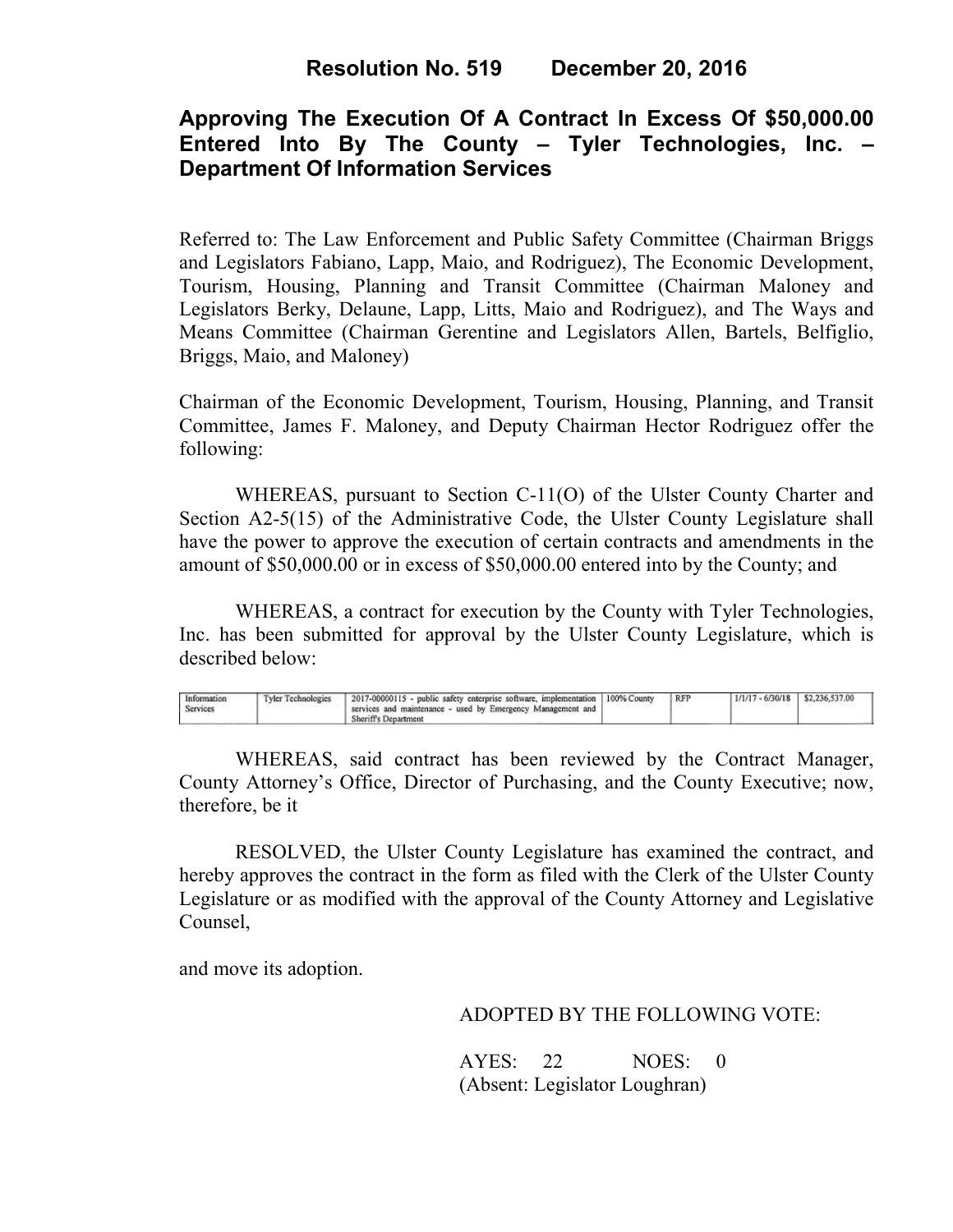## **Approving The Execution Of A Contract In Excess Of \$50,000.00 Entered Into By The County – Tyler Technologies, Inc. – Department Of Information Services**

Referred to: The Law Enforcement and Public Safety Committee (Chairman Briggs and Legislators Fabiano, Lapp, Maio, and Rodriguez), The Economic Development, Tourism, Housing, Planning and Transit Committee (Chairman Maloney and Legislators Berky, Delaune, Lapp, Litts, Maio and Rodriguez), and The Ways and Means Committee (Chairman Gerentine and Legislators Allen, Bartels, Belfiglio, Briggs, Maio, and Maloney)

Chairman of the Economic Development, Tourism, Housing, Planning, and Transit Committee, James F. Maloney, and Deputy Chairman Hector Rodriguez offer the following:

WHEREAS, pursuant to Section C-11(O) of the Ulster County Charter and Section A2-5(15) of the Administrative Code, the Ulster County Legislature shall have the power to approve the execution of certain contracts and amendments in the amount of \$50,000.00 or in excess of \$50,000.00 entered into by the County; and

 WHEREAS, a contract for execution by the County with Tyler Technologies, Inc. has been submitted for approval by the Ulster County Legislature, which is described below:

| 2017-00000115 - public safety enterprise software, implementation   100% County<br><b>Tyler Technologies</b><br>Information<br>services and maintenance - used by Emergency Management and I<br>Services<br><b>Sheriff's Department</b> |  | <b>RFP</b> | $1/1/17 - 6/30/18$ \$2,236,537.00 |  |  |
|-----------------------------------------------------------------------------------------------------------------------------------------------------------------------------------------------------------------------------------------|--|------------|-----------------------------------|--|--|
|-----------------------------------------------------------------------------------------------------------------------------------------------------------------------------------------------------------------------------------------|--|------------|-----------------------------------|--|--|

WHEREAS, said contract has been reviewed by the Contract Manager, County Attorney's Office, Director of Purchasing, and the County Executive; now, therefore, be it

RESOLVED, the Ulster County Legislature has examined the contract, and hereby approves the contract in the form as filed with the Clerk of the Ulster County Legislature or as modified with the approval of the County Attorney and Legislative Counsel,

and move its adoption.

ADOPTED BY THE FOLLOWING VOTE:

AYES: 22 NOES: 0 (Absent: Legislator Loughran)